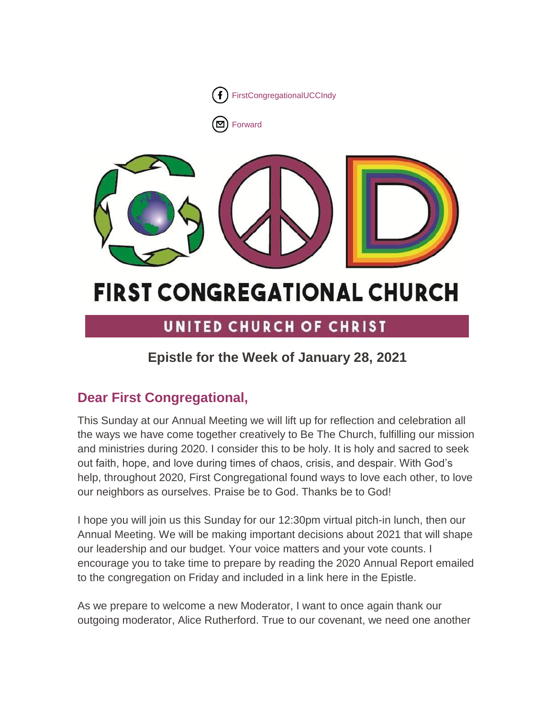



# **FIRST CONGREGATIONAL CHURCH**

## UNITED CHURCH OF CHRIST

### **Epistle for the Week of January 28, 2021**

### **Dear First Congregational,**

This Sunday at our Annual Meeting we will lift up for reflection and celebration all the ways we have come together creatively to Be The Church, fulfilling our mission and ministries during 2020. I consider this to be holy. It is holy and sacred to seek out faith, hope, and love during times of chaos, crisis, and despair. With God's help, throughout 2020, First Congregational found ways to love each other, to love our neighbors as ourselves. Praise be to God. Thanks be to God!

I hope you will join us this Sunday for our 12:30pm virtual pitch-in lunch, then our Annual Meeting. We will be making important decisions about 2021 that will shape our leadership and our budget. Your voice matters and your vote counts. I encourage you to take time to prepare by reading the 2020 Annual Report emailed to the congregation on Friday and included in a link here in the Epistle.

As we prepare to welcome a new Moderator, I want to once again thank our outgoing moderator, Alice Rutherford. True to our covenant, we need one another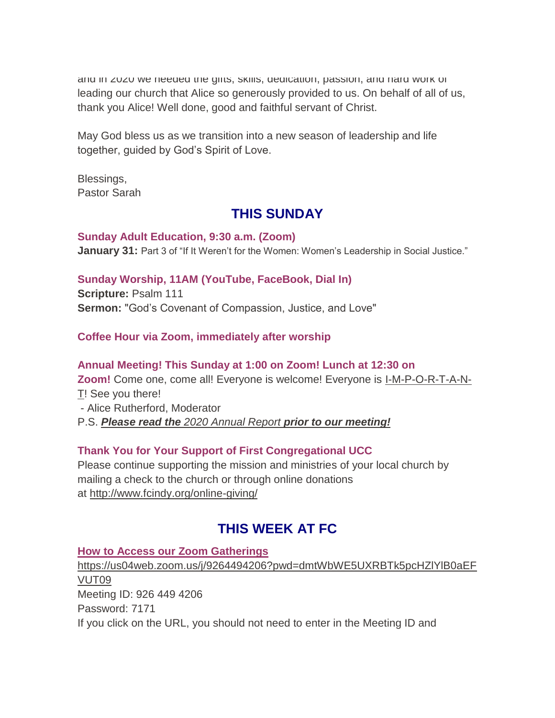and in 2020 we needed the gifts, skills, dedication, passion, and hard work of leading our church that Alice so generously provided to us. On behalf of all of us, thank you Alice! Well done, good and faithful servant of Christ.

May God bless us as we transition into a new season of leadership and life together, guided by God's Spirit of Love.

Blessings, Pastor Sarah

### **THIS SUNDAY**

**Sunday Adult Education, 9:30 a.m. (Zoom) January 31:** Part 3 of "If It Weren't for the Women: Women's Leadership in Social Justice."

### **Sunday Worship, 11AM (YouTube, FaceBook, Dial In)**

**Scripture:** Psalm 111 **Sermon:** "God's Covenant of Compassion, Justice, and Love"

### **Coffee Hour via Zoom, immediately after worship**

### **Annual Meeting! This Sunday at 1:00 on Zoom! Lunch at 12:30 on Zoom!** Come one, come all! Everyone is welcome! Everyone is I-M-P-O-R-T-A-N-T! See you there! - Alice Rutherford, Moderator P.S. *Please read the [2020 Annual Report](https://mcusercontent.com/7a2e4c501545b6d78729a64a1/files/c8eb652b-3a9b-4a39-89c3-2488c9df6106/2020_Annual_Report.02.pdf) prior to our meeting!*

### **Thank You for Your Support of First Congregational UCC**

Please continue supporting the mission and ministries of your local church by mailing a check to the church or through online donations at <http://www.fcindy.org/online-giving/>

### **THIS WEEK AT FC**

### **How to Access our Zoom Gatherings**

[https://us04web.zoom.us/j/9264494206?pwd=dmtWbWE5UXRBTk5pcHZlYlB0aEF](https://us04web.zoom.us/j/9264494206?pwd=dmtWbWE5UXRBTk5pcHZlYlB0aEFVUT09) [VUT09](https://us04web.zoom.us/j/9264494206?pwd=dmtWbWE5UXRBTk5pcHZlYlB0aEFVUT09) Meeting ID: 926 449 4206 Password: 7171 If you click on the URL, you should not need to enter in the Meeting ID and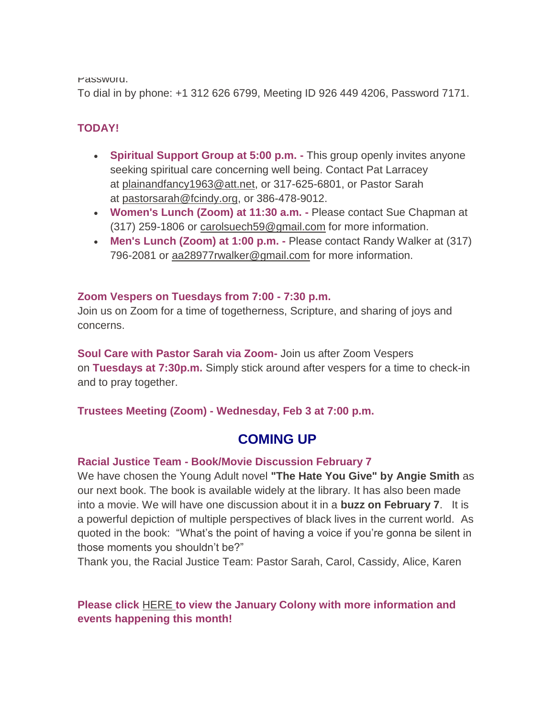Password.

To dial in by phone: +1 312 626 6799, Meeting ID 926 449 4206, Password 7171.

### **TODAY!**

- **Spiritual Support Group at 5:00 p.m. -** This group openly invites anyone seeking spiritual care concerning well being. Contact Pat Larracey at [plainandfancy1963@att.net,](mailto:plainandfancy1963@att.net) or 317-625-6801, or Pastor Sarah at [pastorsarah@fcindy.org,](mailto:pastorsarah@fcindy.org) or 386-478-9012.
- **Women's Lunch (Zoom) at 11:30 a.m. -** Please contact Sue Chapman at (317) 259-1806 or [carolsuech59@gmail.com](mailto:carolsuech59@gmail.com) for more information.
- **Men's Lunch (Zoom) at 1:00 p.m. -** Please contact Randy Walker at (317) 796-2081 or aa28977rwalker@gmail.com for more information.

#### **Zoom Vespers on Tuesdays from 7:00 - 7:30 p.m.**

Join us on Zoom for a time of togetherness, Scripture, and sharing of joys and concerns.

**Soul Care with Pastor Sarah via Zoom-** Join us after Zoom Vespers on **Tuesdays at 7:30p.m.** Simply stick around after vespers for a time to check-in and to pray together.

**Trustees Meeting (Zoom) - Wednesday, Feb 3 at 7:00 p.m.**

### **COMING UP**

#### **Racial Justice Team - Book/Movie Discussion February 7**

We have chosen the Young Adult novel **"The Hate You Give" by Angie Smith** as our next book. The book is available widely at the library. It has also been made into a movie. We will have one discussion about it in a **buzz on February 7**. It is a powerful depiction of multiple perspectives of black lives in the current world. As quoted in the book: "What's the point of having a voice if you're gonna be silent in those moments you shouldn't be?"

Thank you, the Racial Justice Team: Pastor Sarah, Carol, Cassidy, Alice, Karen

### **Please click** [HERE](https://mcusercontent.com/7a2e4c501545b6d78729a64a1/files/5d6c1642-d4df-452d-8ead-028d2af0d818/January_Colony_2021.01.pdf) **to view the January Colony with more information and events happening this month!**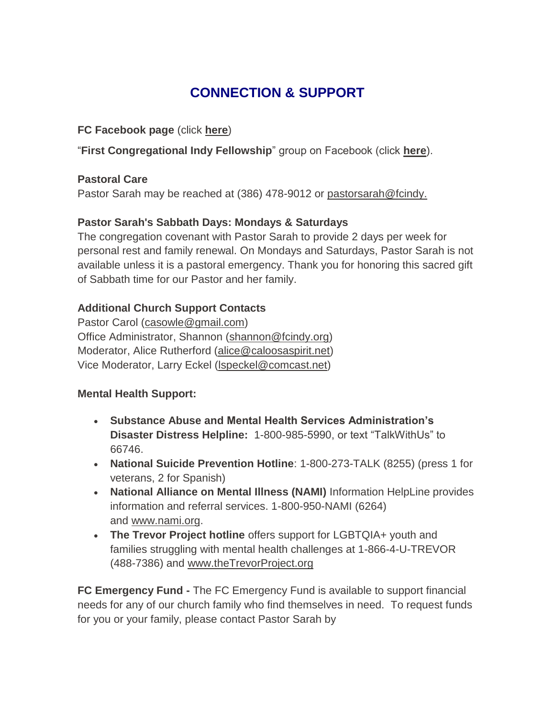### **CONNECTION & SUPPORT**

### **FC Facebook page** (click **[here](https://www.facebook.com/FirstCongregationalUCCIndy/)**)

"**First Congregational Indy Fellowship**" group on Facebook (click **[here](https://www.facebook.com/groups/521333455186422/)**).

### **Pastoral Care**

Pastor Sarah may be reached at (386) 478-9012 or [pastorsarah@fcindy.](mailto:pastorsarah@fcindy.org)

### **Pastor Sarah's Sabbath Days: Mondays & Saturdays**

The congregation covenant with Pastor Sarah to provide 2 days per week for personal rest and family renewal. On Mondays and Saturdays, Pastor Sarah is not available unless it is a pastoral emergency. Thank you for honoring this sacred gift of Sabbath time for our Pastor and her family.

### **Additional Church Support Contacts**

Pastor Carol [\(casowle@gmail.com\)](mailto:casowle@gmail.com) Office Administrator, Shannon [\(shannon@fcindy.org\)](mailto:shannon@fcindy.org) Moderator, Alice Rutherford [\(alice@caloosaspirit.net\)](mailto:alice@caloosaspirit.net) Vice Moderator, Larry Eckel [\(lspeckel@comcast.net\)](mailto:lspeckel@comcast.net)

### **Mental Health Support:**

- **Substance Abuse and Mental Health Services Administration's Disaster Distress Helpline:** 1-800-985-5990, or text "TalkWithUs" to 66746.
- **National Suicide Prevention Hotline**: 1-800-273-TALK (8255) (press 1 for veterans, 2 for Spanish)
- **National Alliance on Mental Illness (NAMI)** Information HelpLine provides information and referral services. 1-800-950-NAMI (6264) and [www.nami.org.](http://www.nami.org/)
- **The Trevor Project hotline** offers support for LGBTQIA+ youth and families struggling with mental health challenges at 1-866-4-U-TREVOR (488-7386) and [www.theTrevorProject.org](http://www.thetrevorproject.org/)

**FC Emergency Fund -** The FC Emergency Fund is available to support financial needs for any of our church family who find themselves in need. To request funds for you or your family, please contact Pastor Sarah by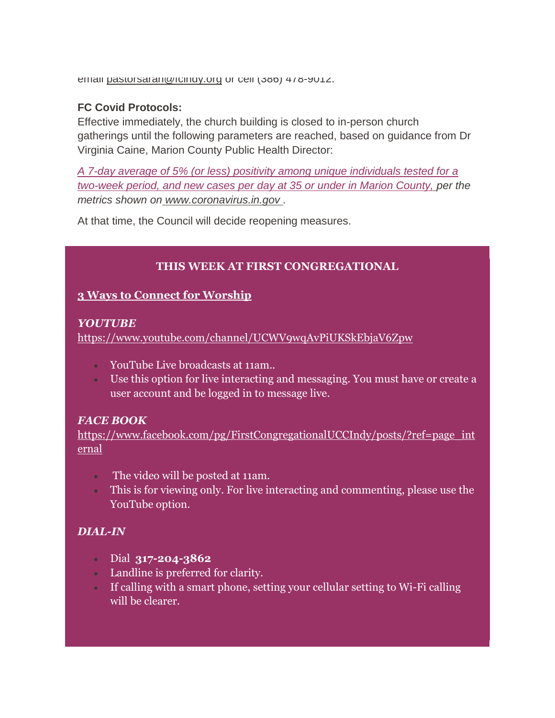email pastorsaran@rcindy.org or cell (386) 478-9012.

#### **FC Covid Protocols:**

Effective immediately, the church building is closed to in-person church gatherings until the following parameters are reached, based on guidance from Dr Virginia Caine, Marion County Public Health Director:

*A 7-day average of 5% (or less) positivity among unique individuals tested for a two-week period, and new cases per day at 35 or under in Marion County, per the metrics shown on [www.coronavirus.in.gov](http://www.coronavirus.in.gov/) .* 

At that time, the Council will decide reopening measures.

### **THIS WEEK AT FIRST CONGREGATIONAL**

### **3 Ways to Connect for Worship**

#### *YOUTUBE*

<https://www.youtube.com/channel/UCWV9wqAvPiUKSkEbjaV6Zpw>

- YouTube Live broadcasts at 11am..
- Use this option for live interacting and messaging. You must have or create a user account and be logged in to message live.

### *FACE BOOK*

[https://www.facebook.com/pg/FirstCongregationalUCCIndy/posts/?ref=page\\_int](https://www.facebook.com/pg/FirstCongregationalUCCIndy/posts/?ref=page_internal) [ernal](https://www.facebook.com/pg/FirstCongregationalUCCIndy/posts/?ref=page_internal)

- The video will be posted at 11am.
- This is for viewing only. For live interacting and commenting, please use the YouTube option.

### *DIAL-IN*

- Dial **317-204-3862**
- Landline is preferred for clarity.
- If calling with a smart phone, setting your cellular setting to Wi-Fi calling will be clearer.